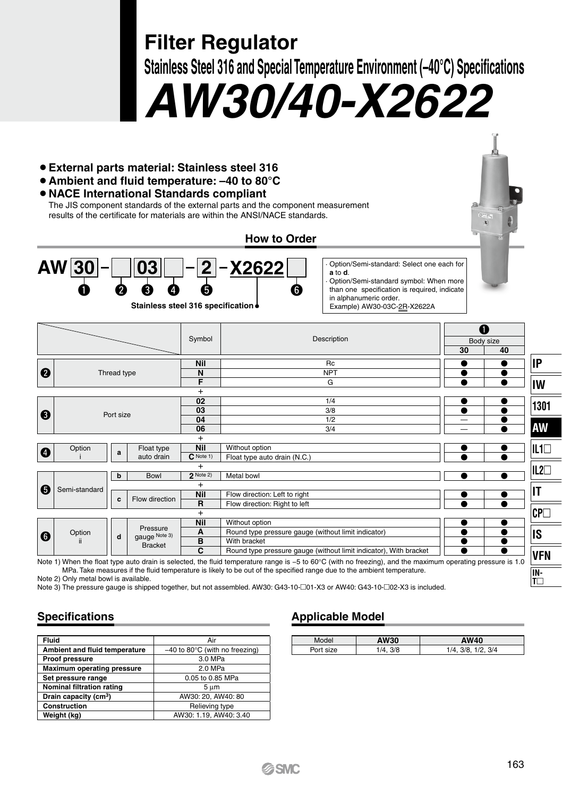**Filter Regulator**

**Stainless Steel 316 and Special Temperature Environment (–40°C) Specifications**

*AW30/40-X2622*

- ¡ **External parts material: Stainless steel 316**
- ¡**Ambient and fluid temperature: –40 to 80°C**

## ¡**NACE International Standards compliant**

The JIS component standards of the external parts and the component measurement results of the certificate for materials are within the ANSI/NACE standards.

**How to Order**



**Stainless steel 316 specification**

· Option/Semi-standard: Select one each for **a** to **d**.

· Option/Semi-standard symbol: When more than one specification is required, indicate in alphanumeric order. Example) AW30-03C-2R-X2622A

|   |               |             |                                             | Symbol                  | Description                                                                                                                                                            | A  | Body size |              |  |  |  |
|---|---------------|-------------|---------------------------------------------|-------------------------|------------------------------------------------------------------------------------------------------------------------------------------------------------------------|----|-----------|--------------|--|--|--|
|   |               |             |                                             |                         |                                                                                                                                                                        | 30 | 40        |              |  |  |  |
|   |               |             |                                             | <b>Nil</b>              | Rc                                                                                                                                                                     |    |           | IP           |  |  |  |
| 0 |               | Thread type |                                             |                         | <b>NPT</b>                                                                                                                                                             |    |           |              |  |  |  |
|   |               |             |                                             | F                       | G                                                                                                                                                                      |    | $\bullet$ | IW           |  |  |  |
|   |               |             |                                             | $\ddot{}$               |                                                                                                                                                                        |    |           |              |  |  |  |
|   |               |             |                                             | 02                      | 1/4                                                                                                                                                                    |    |           | 1301         |  |  |  |
| ❸ | Port size     |             |                                             | 03                      | 3/8                                                                                                                                                                    | a  |           |              |  |  |  |
|   |               |             |                                             | 04                      | 1/2                                                                                                                                                                    |    |           |              |  |  |  |
|   |               |             |                                             | 06                      | 3/4                                                                                                                                                                    |    |           | <b>AW</b>    |  |  |  |
|   |               |             |                                             | $+$                     |                                                                                                                                                                        |    |           |              |  |  |  |
| Ø | Option        | a           | Float type                                  | <b>Nil</b>              | Without option                                                                                                                                                         |    |           | $IL1\square$ |  |  |  |
|   |               |             | auto drain                                  | $C$ Note 1)             | Float type auto drain (N.C.)                                                                                                                                           |    |           |              |  |  |  |
|   |               |             |                                             | $\ddot{}$               |                                                                                                                                                                        |    |           | $IL2\square$ |  |  |  |
|   |               | b           | Bowl                                        | $2$ Note 2)             | Metal bowl                                                                                                                                                             |    |           |              |  |  |  |
| 0 | Semi-standard |             |                                             | $\ddot{}$<br><b>Nil</b> |                                                                                                                                                                        |    |           | ΙT           |  |  |  |
|   |               | c           | Flow direction                              | $\overline{R}$          | Flow direction: Left to right<br>Flow direction: Right to left                                                                                                         |    |           |              |  |  |  |
|   |               |             |                                             | $+$                     |                                                                                                                                                                        |    |           |              |  |  |  |
|   |               |             |                                             | <b>Nil</b>              | Without option                                                                                                                                                         |    |           | CPL          |  |  |  |
|   | Option<br>н.  |             | Pressure<br>gauge Note 3)<br><b>Bracket</b> | A                       | Round type pressure gauge (without limit indicator)                                                                                                                    |    |           |              |  |  |  |
| 0 |               | d           |                                             | B                       |                                                                                                                                                                        |    | IS        |              |  |  |  |
|   |               |             |                                             | C                       | With bracket<br>Round type pressure gauge (without limit indicator), With bracket                                                                                      |    |           |              |  |  |  |
|   |               |             |                                             |                         | Note 1) When the floot time quic decis is colonized the fluid temperature room in F to COO (with no frequing), and the mericano concriter approximate procedure in 1.0 |    |           | <b>VFN</b>   |  |  |  |

Note 1) When the float type auto drain is selected, the fluid temperature range is −5 to 60°C (with no freezing), and the maximum operating pressure is 1.0 MPa. Take measures if the fluid temperature is likely to be out of the specified range due to the ambient temperature. Note 2) Only metal bowl is available.

Note 3) The pressure gauge is shipped together, but not assembled. AW30: G43-10-01-X3 or AW40: G43-10- $\Box$ 02-X3 is included.

# **Specifications**

| Fluid                             | Air                                         |  |  |  |  |  |  |
|-----------------------------------|---------------------------------------------|--|--|--|--|--|--|
| Ambient and fluid temperature     | $-40$ to 80 $^{\circ}$ C (with no freezing) |  |  |  |  |  |  |
| Proof pressure                    | 3.0 MPa                                     |  |  |  |  |  |  |
| <b>Maximum operating pressure</b> | 2.0 MPa                                     |  |  |  |  |  |  |
| Set pressure range                | 0.05 to 0.85 MPa                            |  |  |  |  |  |  |
| Nominal filtration rating         | 5 um                                        |  |  |  |  |  |  |
| Drain capacity (cm <sup>3</sup> ) | AW30: 20, AW40: 80                          |  |  |  |  |  |  |
| Construction                      | Relieving type                              |  |  |  |  |  |  |
| Weight (kg)                       | AW30: 1.19. AW40: 3.40                      |  |  |  |  |  |  |

# **Applicable Model**

| Model     | AW30       | AW40                   |
|-----------|------------|------------------------|
| Port size | 3/8<br>1/A | 1/2.3/4<br>$1/4$ $3/8$ |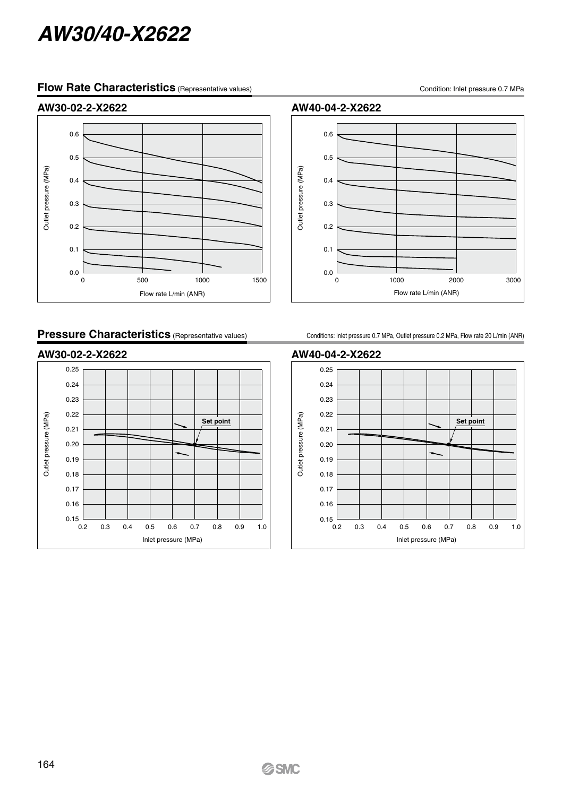# *AW30/40-X2622*

## **Flow Rate Characteristics** (Representative values)

Condition: Inlet pressure 0.7 MPa

#### **AW30-02-2-X2622**



## **Pressure Characteristics** (Representative values)

**AW30-02-2-X2622** 0.25 0.24 0.23 0.22 Outlet pressure (MPa) Outlet pressure (MPa) **Set point** 0.21 0.20 0.19 0.18 0.17 0.16  $0.15$   $\frac{1}{0.2}$ 0.2 0.3 0.4 0.5 0.6 0.7 0.8 0.9 1.0 Inlet pressure (MPa)

**AW40-04-2-X2622**



Conditions: Inlet pressure 0.7 MPa, Outlet pressure 0.2 MPa, Flow rate 20 L/min (ANR)

#### **AW40-04-2-X2622**

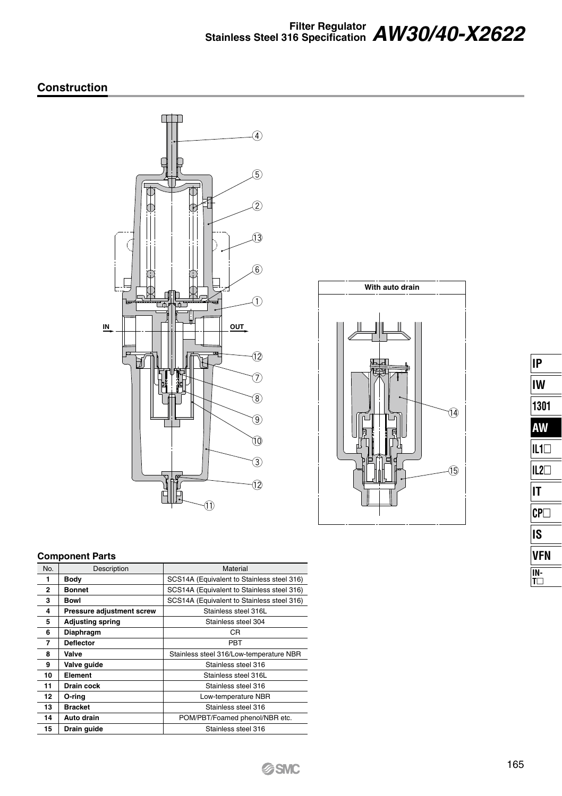# **Filter Regulator Stainless Steel 316 Specification** *AW30/40-X2622*

#### **Construction**



# **With auto drain**  $\overline{\mathbf{14}}$  $\overline{15}$

| IP              |
|-----------------|
| IW              |
| 1301            |
| AW              |
| IL10            |
| $L2\Box$<br>I   |
| IΤ              |
| CP <sub>1</sub> |
| IS              |
| /FN             |
| N-              |
|                 |

#### **Component Parts**

| No.            | Description               | Material                                   |
|----------------|---------------------------|--------------------------------------------|
| 1              | Body                      | SCS14A (Equivalent to Stainless steel 316) |
| $\overline{2}$ | <b>Bonnet</b>             | SCS14A (Equivalent to Stainless steel 316) |
| 3              | Bowl                      | SCS14A (Equivalent to Stainless steel 316) |
| 4              | Pressure adjustment screw | Stainless steel 316L                       |
| 5              | <b>Adjusting spring</b>   | Stainless steel 304                        |
| 6              | Diaphragm                 | CR.                                        |
| 7              | <b>Deflector</b>          | PBT                                        |
| 8              | Valve                     | Stainless steel 316/Low-temperature NBR    |
| 9              | Valve guide               | Stainless steel 316                        |
| 10             | Element                   | Stainless steel 316L                       |
| 11             | Drain cock                | Stainless steel 316                        |
| 12             | O-ring                    | Low-temperature NBR                        |
| 13             | <b>Bracket</b>            | Stainless steel 316                        |
| 14             | Auto drain                | POM/PBT/Foamed phenol/NBR etc.             |
| 15             | Drain guide               | Stainless steel 316                        |
|                |                           |                                            |